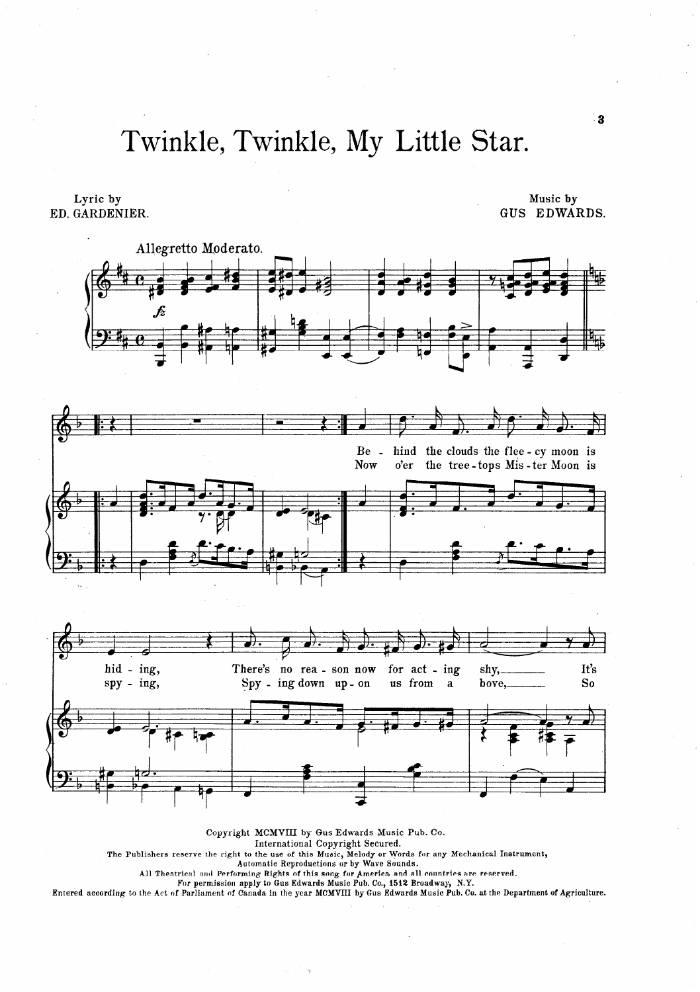Twinkle, Twinkle, My Little Star.

Lyric by Music by ED. GARDENIER. GUS EDWARDS.



International Copyright Secured.

The Publishers reserve the right to the use of this Music, Melody or Words for any Mechanical Instrument, Automatic Reproductions or by Wave Sounds.

All Theatrical ~IIII Performing Rights of this song for America and all countries are reserved.

For permission apply to Gus Edwards Music Pub. Co., 1512 Broadway, N.Y.

Entered according to the Act of Parliament of Canada in the year MCMVIII by Gus Edwards Music Pub. Co. at the Department of Agriculture.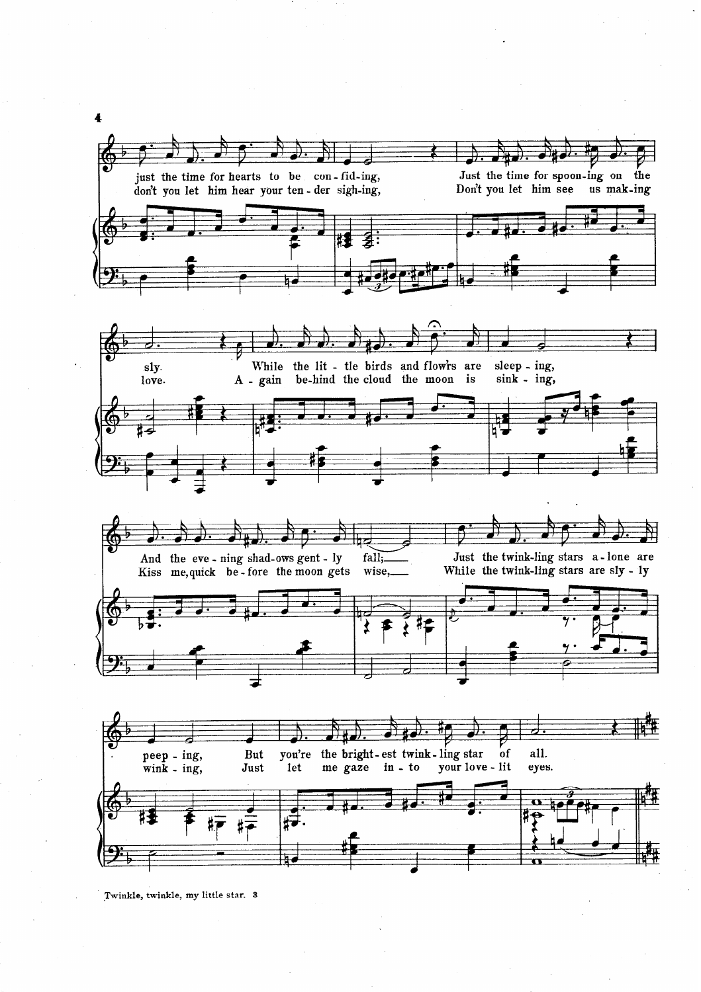

.Twinkle, twinkle, my little star. 3

4